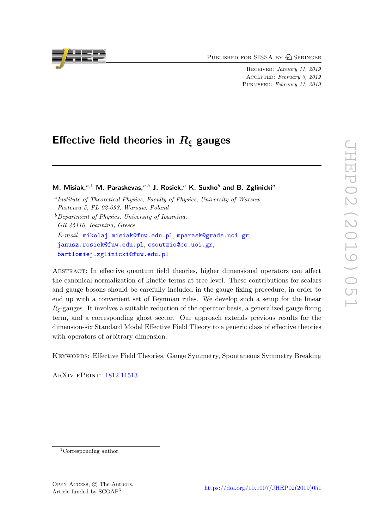PUBLISHED FOR SISSA BY 2 SPRINGER

Received: January 11, 2019 Accepted: February 3, 2019 PUBLISHED: February 11, 2019

# Effective field theories in  $R_{\xi}$  gauges

M. Misiak. $a,1}$  M. Paraskevas. $a,b$  J. Rosiek. $a$  K. Suxho $b$  and B. Zglinicki<sup>a</sup>

<sup>a</sup> Institute of Theoretical Physics, Faculty of Physics, University of Warsaw, Pasteura 5, PL 02-093, Warsaw, Poland  $b$ Department of Physics, University of Ioannina, GR 45110, Ioannina, Greece E-mail: [mikolaj.misiak@fuw.edu.pl](mailto:mikolaj.misiak@fuw.edu.pl), [mparask@grads.uoi.gr](mailto:mparask@grads.uoi.gr), [janusz.rosiek@fuw.edu.pl](mailto:janusz.rosiek@fuw.edu.pl), [csoutzio@cc.uoi.gr](mailto:csoutzio@cc.uoi.gr), [bartlomiej.zglinicki@fuw.edu.pl](mailto:bartlomiej.zglinicki@fuw.edu.pl)

Abstract: In effective quantum field theories, higher dimensional operators can affect the canonical normalization of kinetic terms at tree level. These contributions for scalars and gauge bosons should be carefully included in the gauge fixing procedure, in order to end up with a convenient set of Feynman rules. We develop such a setup for the linear  $R_{\xi}$ -gauges. It involves a suitable reduction of the operator basis, a generalized gauge fixing term, and a corresponding ghost sector. Our approach extends previous results for the dimension-six Standard Model Effective Field Theory to a generic class of effective theories with operators of arbitrary dimension.

Keywords: Effective Field Theories, Gauge Symmetry, Spontaneous Symmetry Breaking

ArXiv ePrint: [1812.11513](https://arxiv.org/abs/1812.11513)



<sup>&</sup>lt;sup>1</sup>Corresponding author.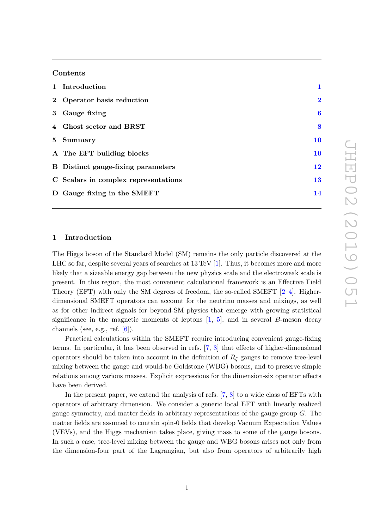#### Contents

| 1 Introduction                            | $\mathbf{1}$            |
|-------------------------------------------|-------------------------|
| 2 Operator basis reduction                | $\overline{\mathbf{2}}$ |
| 3 Gauge fixing                            | $\bf{6}$                |
| 4 Ghost sector and BRST                   | 8                       |
| 5 Summary                                 | 10                      |
| A The EFT building blocks                 | 10                      |
| <b>B</b> Distinct gauge-fixing parameters | 12                      |
| C Scalars in complex representations      | 13                      |
| D Gauge fixing in the SMEFT               | 14                      |

## <span id="page-1-0"></span>1 Introduction

The Higgs boson of the Standard Model (SM) remains the only particle discovered at the LHC so far, despite several years of searches at 13 TeV [\[1\]](#page-16-0). Thus, it becomes more and more likely that a sizeable energy gap between the new physics scale and the electroweak scale is present. In this region, the most convenient calculational framework is an Effective Field Theory (EFT) with only the SM degrees of freedom, the so-called SMEFT [\[2–](#page-16-1)[4\]](#page-16-2). Higherdimensional SMEFT operators can account for the neutrino masses and mixings, as well as for other indirect signals for beyond-SM physics that emerge with growing statistical significance in the magnetic moments of leptons  $[1, 5]$  $[1, 5]$  $[1, 5]$ , and in several B-meson decay channels (see, e.g., ref.  $[6]$ ).

Practical calculations within the SMEFT require introducing convenient gauge-fixing terms. In particular, it has been observed in refs. [\[7,](#page-16-5) [8\]](#page-16-6) that effects of higher-dimensional operators should be taken into account in the definition of  $R_{\xi}$  gauges to remove tree-level mixing between the gauge and would-be Goldstone (WBG) bosons, and to preserve simple relations among various masses. Explicit expressions for the dimension-six operator effects have been derived.

In the present paper, we extend the analysis of refs. [\[7,](#page-16-5) [8\]](#page-16-6) to a wide class of EFTs with operators of arbitrary dimension. We consider a generic local EFT with linearly realized gauge symmetry, and matter fields in arbitrary representations of the gauge group G. The matter fields are assumed to contain spin-0 fields that develop Vacuum Expectation Values (VEVs), and the Higgs mechanism takes place, giving mass to some of the gauge bosons. In such a case, tree-level mixing between the gauge and WBG bosons arises not only from the dimension-four part of the Lagrangian, but also from operators of arbitrarily high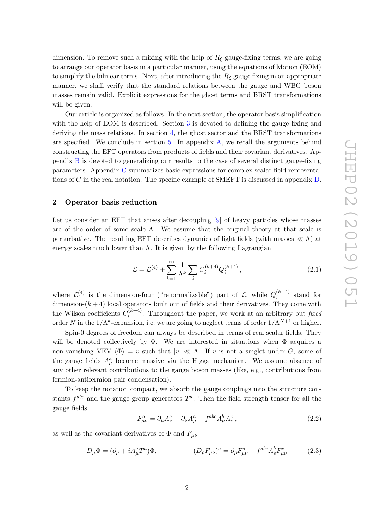dimension. To remove such a mixing with the help of  $R_{\xi}$  gauge-fixing terms, we are going to arrange our operator basis in a particular manner, using the equations of Motion (EOM) to simplify the bilinear terms. Next, after introducing the  $R_{\xi}$  gauge fixing in an appropriate manner, we shall verify that the standard relations between the gauge and WBG boson masses remain valid. Explicit expressions for the ghost terms and BRST transformations will be given.

Our article is organized as follows. In the next section, the operator basis simplification with the help of EOM is described. Section [3](#page-6-0) is devoted to defining the gauge fixing and deriving the mass relations. In section [4,](#page-8-0) the ghost sector and the BRST transformations are specified. We conclude in section [5.](#page-10-0) In appendix [A,](#page-10-1) we recall the arguments behind constructing the EFT operators from products of fields and their covariant derivatives. Appendix [B](#page-12-0) is devoted to generalizing our results to the case of several distinct gauge-fixing parameters. Appendix [C](#page-13-0) summarizes basic expressions for complex scalar field representations of G in the real notation. The specific example of SMEFT is discussed in appendix  $D$ .

# <span id="page-2-0"></span>2 Operator basis reduction

Let us consider an EFT that arises after decoupling [\[9\]](#page-16-7) of heavy particles whose masses are of the order of some scale  $\Lambda$ . We assume that the original theory at that scale is perturbative. The resulting EFT describes dynamics of light fields (with masses  $\ll \Lambda$ ) at energy scales much lower than  $\Lambda$ . It is given by the following Lagrangian

<span id="page-2-1"></span>
$$
\mathcal{L} = \mathcal{L}^{(4)} + \sum_{k=1}^{\infty} \frac{1}{\Lambda^k} \sum_{i} C_i^{(k+4)} Q_i^{(k+4)}, \qquad (2.1)
$$

where  $\mathcal{L}^{(4)}$  is the dimension-four ("renormalizable") part of  $\mathcal{L}$ , while  $Q_i^{(k+4)}$  $i^{(\kappa+4)}$  stand for dimension- $(k + 4)$  local operators built out of fields and their derivatives. They come with the Wilson coefficients  $C_i^{(k+4)}$  $i^{(k+4)}$ . Throughout the paper, we work at an arbitrary but *fixed* order N in the  $1/\Lambda^k$ -expansion, i.e. we are going to neglect terms of order  $1/\Lambda^{N+1}$  or higher.

Spin-0 degrees of freedom can always be described in terms of real scalar fields. They will be denoted collectively by  $\Phi$ . We are interested in situations when  $\Phi$  acquires a non-vanishing VEV  $\langle \Phi \rangle = v$  such that  $|v| \ll \Lambda$ . If v is not a singlet under G, some of the gauge fields  $A^a_\mu$  become massive via the Higgs mechanism. We assume absence of any other relevant contributions to the gauge boson masses (like, e.g., contributions from fermion-antifermion pair condensation).

To keep the notation compact, we absorb the gauge couplings into the structure constants  $f^{abc}$  and the gauge group generators  $T^a$ . Then the field strength tensor for all the gauge fields

$$
F_{\mu\nu}^a = \partial_\mu A_\nu^a - \partial_\nu A_\mu^a - f^{abc} A_\mu^b A_\nu^c, \qquad (2.2)
$$

as well as the covariant derivatives of  $\Phi$  and  $F_{\mu\nu}$ 

$$
D_{\mu}\Phi = (\partial_{\mu} + iA_{\mu}^{a}T^{a})\Phi, \qquad (D_{\rho}F_{\mu\nu})^{a} = \partial_{\rho}F_{\mu\nu}^{a} - f^{abc}A_{\rho}^{b}F_{\mu\nu}^{c} \qquad (2.3)
$$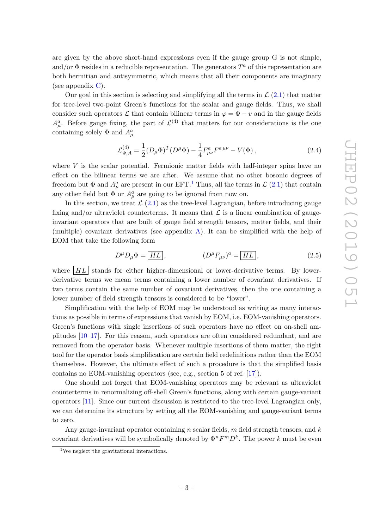are given by the above short-hand expressions even if the gauge group G is not simple, and/or  $\Phi$  resides in a reducible representation. The generators  $T^a$  of this representation are both hermitian and antisymmetric, which means that all their components are imaginary (see appendix  $C$ ).

Our goal in this section is selecting and simplifying all the terms in  $\mathcal{L}(2,1)$  that matter for tree-level two-point Green's functions for the scalar and gauge fields. Thus, we shall consider such operators L that contain bilinear terms in  $\varphi = \Phi - v$  and in the gauge fields  $A^a_\mu$ . Before gauge fixing, the part of  $\mathcal{L}^{(4)}$  that matters for our considerations is the one containing solely  $\Phi$  and  $A^a_\mu$ 

<span id="page-3-2"></span>
$$
\mathcal{L}_{\Phi,A}^{(4)} = \frac{1}{2} (D_{\mu} \Phi)^{T} (D^{\mu} \Phi) - \frac{1}{4} F_{\mu\nu}^{a} F^{a \mu\nu} - V(\Phi) , \qquad (2.4)
$$

where  $V$  is the scalar potential. Fermionic matter fields with half-integer spins have no effect on the bilinear terms we are after. We assume that no other bosonic degrees of freedom but  $\Phi$  and  $A^a_\mu$  are present in our EFT.<sup>[1](#page-3-0)</sup> Thus, all the terms in  $\mathcal{L}(2.1)$  $\mathcal{L}(2.1)$  that contain any other field but  $\Phi$  or  $A^a_\mu$  are going to be ignored from now on.

In this section, we treat  $\mathcal{L}(2.1)$  $\mathcal{L}(2.1)$  as the tree-level Lagrangian, before introducing gauge fixing and/or ultraviolet counterterms. It means that  $\mathcal L$  is a linear combination of gaugeinvariant operators that are built of gauge field strength tensors, matter fields, and their (multiple) covariant derivatives (see appendix [A\)](#page-10-1). It can be simplified with the help of EOM that take the following form

<span id="page-3-1"></span>
$$
D^{\mu}D_{\mu}\Phi = \boxed{HL}, \qquad (D^{\mu}F_{\mu\nu})^a = \boxed{HL}, \qquad (2.5)
$$

where  $\overline{HL}$  stands for either higher-dimensional or lower-derivative terms. By lowerderivative terms we mean terms containing a lower number of covariant derivatives. If two terms contain the same number of covariant derivatives, then the one containing a lower number of field strength tensors is considered to be "lower".

Simplification with the help of EOM may be understood as writing as many interactions as possible in terms of expressions that vanish by EOM, i.e. EOM-vanishing operators. Green's functions with single insertions of such operators have no effect on on-shell amplitudes [\[10](#page-16-8)[–17\]](#page-16-9). For this reason, such operators are often considered redundant, and are removed from the operator basis. Whenever multiple insertions of them matter, the right tool for the operator basis simplification are certain field redefinitions rather than the EOM themselves. However, the ultimate effect of such a procedure is that the simplified basis contains no EOM-vanishing operators (see, e.g., section 5 of ref. [\[17\]](#page-16-9)).

One should not forget that EOM-vanishing operators may be relevant as ultraviolet counterterms in renormalizing off-shell Green's functions, along with certain gauge-variant operators [\[11\]](#page-16-10). Since our current discussion is restricted to the tree-level Lagrangian only, we can determine its structure by setting all the EOM-vanishing and gauge-variant terms to zero.

Any gauge-invariant operator containing n scalar fields,  $m$  field strength tensors, and  $k$ covariant derivatives will be symbolically denoted by  $\Phi^n F^m D^k$ . The power k must be even

<span id="page-3-0"></span><sup>&</sup>lt;sup>1</sup>We neglect the gravitational interactions.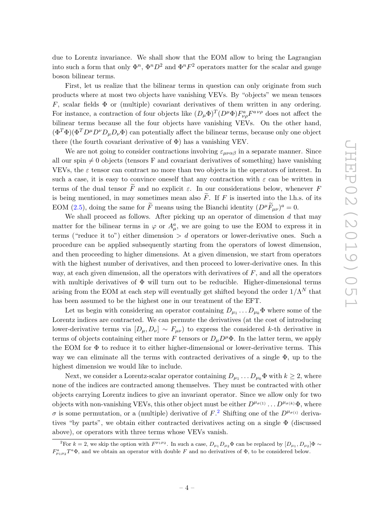due to Lorentz invariance. We shall show that the EOM allow to bring the Lagrangian into such a form that only  $\Phi^n$ ,  $\Phi^n D^2$  and  $\Phi^n F^2$  operators matter for the scalar and gauge boson bilinear terms.

First, let us realize that the bilinear terms in question can only originate from such products where at most two objects have vanishing VEVs. By "objects" we mean tensors F, scalar fields  $\Phi$  or (multiple) covariant derivatives of them written in any ordering. For instance, a contraction of four objects like  $(D_\mu \Phi)^T (D^\mu \Phi) F^a_{\nu \rho} F^{a \nu \rho}$  does not affect the bilinear terms because all the four objects have vanishing VEVs. On the other hand,  $(\Phi^T \Phi)(\Phi^T D^{\mu} D^{\nu} D_{\mu} D_{\nu} \Phi)$  can potentially affect the bilinear terms, because only one object there (the fourth covariant derivative of  $\Phi$ ) has a vanishing VEV.

We are not going to consider contractions involving  $\varepsilon_{\mu\nu\alpha\beta}$  in a separate manner. Since all our spin  $\neq 0$  objects (tensors F and covariant derivatives of something) have vanishing VEVs, the  $\varepsilon$  tensor can contract no more than two objects in the operators of interest. In such a case, it is easy to convince oneself that any contraction with  $\varepsilon$  can be written in terms of the dual tensor  $\tilde{F}$  and no explicit  $\varepsilon$ . In our considerations below, whenever  $F$ is being mentioned, in may sometimes mean also  $\widetilde{F}$ . If F is inserted into the l.h.s. of its EOM [\(2.5\)](#page-3-1), doing the same for  $\tilde{F}$  means using the Bianchi identity  $(D^{\mu}\tilde{F}_{\mu\nu})^a = 0$ .

We shall proceed as follows. After picking up an operator of dimension  $d$  that may matter for the bilinear terms in  $\varphi$  or  $A^a_\mu$ , we are going to use the EOM to express it in terms ("reduce it to") either dimension  $\geq d$  operators or lower-derivative ones. Such a procedure can be applied subsequently starting from the operators of lowest dimension, and then proceeding to higher dimensions. At a given dimension, we start from operators with the highest number of derivatives, and then proceed to lower-derivative ones. In this way, at each given dimension, all the operators with derivatives of  $F$ , and all the operators with multiple derivatives of Φ will turn out to be reducible. Higher-dimensional terms arising from the EOM at each step will eventually get shifted beyond the order  $1/\Lambda^N$  that has been assumed to be the highest one in our treatment of the EFT.

Let us begin with considering an operator containing  $D_{\mu_1} \dots D_{\mu_k} \Phi$  where some of the Lorentz indices are contracted. We can permute the derivatives (at the cost of introducing lower-derivative terms via  $[D_\mu, D_\nu] \sim F_{\mu\nu}$  to express the considered k-th derivative in terms of objects containing either more F tensors or  $D_{\mu}D^{\mu}\Phi$ . In the latter term, we apply the EOM for  $\Phi$  to reduce it to either higher-dimensional or lower-derivative terms. This way we can eliminate all the terms with contracted derivatives of a single  $\Phi$ , up to the highest dimension we would like to include.

Next, we consider a Lorentz-scalar operator containing  $D_{\mu_1} \dots D_{\mu_k} \Phi$  with  $k \geq 2$ , where none of the indices are contracted among themselves. They must be contracted with other objects carrying Lorentz indices to give an invariant operator. Since we allow only for two objects with non-vanishing VEVs, this other object must be either  $D^{\mu_{\sigma(1)}}\dots D^{\mu_{\sigma(k)}}\Phi$ , where σ is some permutation, or a (multiple) derivative of  $F$ <sup>[2](#page-4-0)</sup>. Shifting one of the  $D^{\mu_{\sigma(i)}}$  derivatives "by parts", we obtain either contracted derivatives acting on a single Φ (discussed above), or operators with three terms whose VEVs vanish.

<span id="page-4-0"></span><sup>&</sup>lt;sup>2</sup>For  $k = 2$ , we skip the option with  $F^{\mu_1 \mu_2}$ . In such a case,  $D_{\mu_1} D_{\mu_2} \Phi$  can be replaced by  $[D_{\mu_1}, D_{\mu_2}] \Phi \sim$  $F_{\mu_1\mu_2}^aT^a\Phi$ , and we obtain an operator with double F and no derivatives of  $\Phi$ , to be considered below.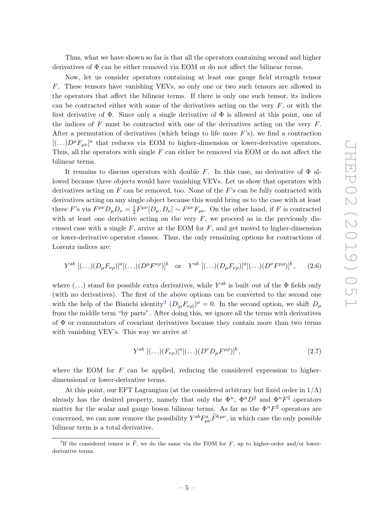Thus, what we have shown so far is that all the operators containing second and higher derivatives of  $\Phi$  can be either removed via EOM or do not affect the bilinear terms.

Now, let us consider operators containing at least one gauge field strength tensor F. These tensors have vanishing VEVs, so only one or two such tensors are allowed in the operators that affect the bilinear terms. If there is only one such tensor, its indices can be contracted either with some of the derivatives acting on the very  $F$ , or with the first derivative of  $\Phi$ . Since only a single derivative of  $\Phi$  is allowed at this point, one of the indices of  $F$  must be contracted with one of the derivatives acting on the very  $F$ . After a permutation of derivatives (which brings to life more  $F$ 's), we find a contraction  $[$ (...) $D^{\mu}F_{\mu\nu}]^a$  that reduces via EOM to higher-dimension or lower-derivative operators. Thus, all the operators with single  $F$  can either be removed via EOM or do not affect the bilinear terms.

It remains to discuss operators with double F. In this case, no derivative of  $\Phi$  allowed because three objects would have vanishing VEVs. Let us show that operators with derivatives acting on  $F$  can be removed, too. None of the  $F$ 's can be fully contracted with derivatives acting on any single object because this would bring us to the case with at least three F's via  $F^{\mu\nu}D_{\mu}D_{\nu}=\frac{1}{2}$  $\frac{1}{2}F^{\mu\nu}[D_{\mu}, D_{\nu}] \sim F^{\mu\nu}F_{\mu\nu}$ . On the other hand, if F is contracted with at least one derivative acting on the very  $F$ , we proceed as in the previously discussed case with a single  $F$ , arrive at the EOM for  $F$ , and get moved to higher-dimension or lower-derivative operator classes. Thus, the only remaining options for contractions of Lorentz indices are:

$$
Y^{ab} [(\ldots)(D_{\mu} F_{\nu\rho})]^a [(\ldots)(D^{\mu} F^{\nu\rho})]^b \text{ or } Y^{ab} [(\ldots)(D_{\mu} F_{\nu\rho})]^a [(\ldots)(D^{\nu} F^{\mu\rho})]^b , \qquad (2.6)
$$

where  $(\ldots)$  stand for possible extra derivatives, while  $Y^{ab}$  is built out of the  $\Phi$  fields only (with no derivatives). The first of the above options can be converted to the second one with the help of the Bianchi identity<sup>[3](#page-5-0)</sup>  $(D_{\mu}F_{\nu\rho})^a=0$ . In the second option, we shift  $D_{\mu}$ from the middle term "by parts". After doing this, we ignore all the terms with derivatives of Φ or commutators of covariant derivatives because they contain more than two terms with vanishing VEV's. This way we arrive at

$$
Y^{ab} [(\ldots)(F_{\nu\rho})]^a [(\ldots)(D^{\nu}D_{\mu}F^{\mu\rho})]^b , \qquad (2.7)
$$

where the EOM for  $F$  can be applied, reducing the considered expression to higherdimensional or lower-derivative terms.

At this point, our EFT Lagrangian (at the considered arbitrary but fixed order in  $1/\Lambda$ ) already has the desired property, namely that only the  $\Phi^n$ ,  $\Phi^n D^2$  and  $\Phi^n F^2$  operators matter for the scalar and gauge boson bilinear terms. As far as the  $\Phi^n F^2$  operators are concerned, we can now remove the possibility  $Y^{ab}F^a_{\mu\nu}\tilde{F}^{b\,\mu\nu}$ , in which case the only possible bilinear term is a total derivative.

<span id="page-5-0"></span><sup>&</sup>lt;sup>3</sup>If the considered tensor is  $\tilde{F}$ , we do the same via the EOM for F, up to higher-order and/or lowerderivative terms.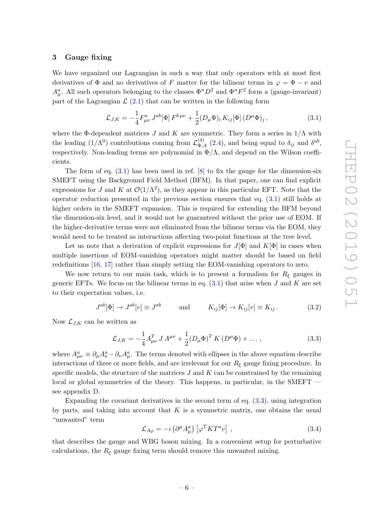#### <span id="page-6-0"></span>3 Gauge fixing

We have organized our Lagrangian in such a way that only operators with at most first derivatives of  $\Phi$  and no derivatives of F matter for the bilinear terms in  $\varphi = \Phi - v$  and  $A^a_\mu$ . All such operators belonging to the classes  $\Phi^n D^2$  and  $\Phi^n F^2$  form a (gauge-invariant) part of the Lagrangian  $\mathcal{L}(2.1)$  $\mathcal{L}(2.1)$  that can be written in the following form

<span id="page-6-1"></span>
$$
\mathcal{L}_{J,K} = -\frac{1}{4} F^{a}_{\mu\nu} J^{ab} [\Phi] F^{b\,\mu\nu} + \frac{1}{2} (D_{\mu} \Phi)_i K_{ij} [\Phi] (D^{\mu} \Phi)_j , \qquad (3.1)
$$

where the Φ-dependent matrices J and K are symmetric. They form a series in  $1/\Lambda$  with the leading  $(1/\Lambda^0)$  contributions coming from  $\mathcal{L}_{\Phi,A}^{(4)}$  [\(2.4\)](#page-3-2), and being equal to  $\delta_{ij}$  and  $\delta^{ab}$ , respectively. Non-leading terms are polynomial in  $\Phi/\Lambda$ , and depend on the Wilson coefficients.

The form of eq.  $(3.1)$  has been used in ref.  $[8]$  to fix the gauge for the dimension-six SMEFT using the Background Field Method (BFM). In that paper, one can find explicit expressions for J and K at  $\mathcal{O}(1/\Lambda^2)$ , as they appear in this particular EFT. Note that the operator reduction presented in the previous section ensures that eq. [\(3.1\)](#page-6-1) still holds at higher orders in the SMEFT expansion. This is required for extending the BFM beyond the dimension-six level, and it would not be guaranteed without the prior use of EOM. If the higher-derivative terms were not eliminated from the bilinear terms via the EOM, they would need to be treated as interactions affecting two-point functions at the tree level.

Let us note that a derivation of explicit expressions for  $J[\Phi]$  and  $K[\Phi]$  in cases when multiple insertions of EOM-vanishing operators might matter should be based on field redefinitions [\[16,](#page-16-11) [17\]](#page-16-9) rather than simply setting the EOM-vanishing operators to zero.

We now return to our main task, which is to present a formalism for  $R_{\xi}$  gauges in generic EFTs. We focus on the bilinear terms in eq.  $(3.1)$  that arise when J and K are set to their expectation values, i.e.

<span id="page-6-4"></span>
$$
J^{ab}[\Phi] \to J^{ab}[v] \equiv J^{ab} \quad \text{and} \quad K_{ij}[\Phi] \to K_{ij}[v] \equiv K_{ij} \,. \tag{3.2}
$$

Now  $\mathcal{L}_{J,K}$  can be written as

<span id="page-6-2"></span>
$$
\mathcal{L}_{J,K} = -\frac{1}{4} A_{\mu\nu}^T J A^{\mu\nu} + \frac{1}{2} (D_{\mu} \Phi)^T K (D^{\mu} \Phi) + \dots,
$$
\n(3.3)

where  $A^a_{\mu\nu} \equiv \partial_\mu A^a_\nu - \partial_\nu A^a_\mu$ . The terms denoted with ellipses in the above equation describe interactions of three or more fields, and are irrelevant for our  $R_{\xi}$  gauge fixing procedure. In specific models, the structure of the matrices  $J$  and  $K$  can be constrained by the remaining local or global symmetries of the theory. This happens, in particular, in the SMEFT see appendix [D.](#page-14-0)

Expanding the covariant derivatives in the second term of eq. [\(3.3\)](#page-6-2), using integration by parts, and taking into account that  $K$  is a symmetric matrix, one obtains the usual "unwanted" term

<span id="page-6-3"></span>
$$
\mathcal{L}_{A\varphi} = -i \left( \partial^{\mu} A_{\mu}^{a} \right) \left[ \varphi^{T} K T^{a} v \right] , \qquad (3.4)
$$

that describes the gauge and WBG boson mixing. In a convenient setup for perturbative calculations, the  $R_{\xi}$  gauge fixing term should remove this unwanted mixing.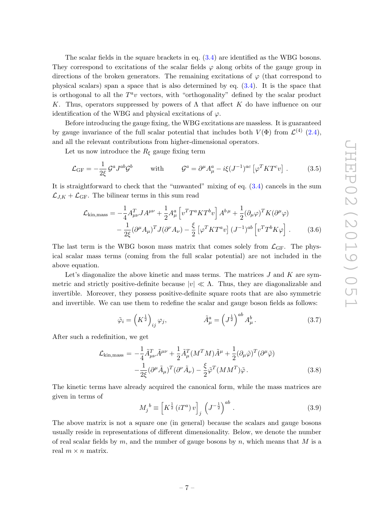The scalar fields in the square brackets in eq. [\(3.4\)](#page-6-3) are identified as the WBG bosons. They correspond to excitations of the scalar fields  $\varphi$  along orbits of the gauge group in directions of the broken generators. The remaining excitations of  $\varphi$  (that correspond to physical scalars) span a space that is also determined by eq. [\(3.4\)](#page-6-3). It is the space that is orthogonal to all the  $T^a v$  vectors, with "orthogonality" defined by the scalar product K. Thus, operators suppressed by powers of  $\Lambda$  that affect K do have influence on our identification of the WBG and physical excitations of  $\varphi$ .

Before introducing the gauge fixing, the WBG excitations are massless. It is guaranteed by gauge invariance of the full scalar potential that includes both  $V(\Phi)$  from  $\mathcal{L}^{(4)}$  [\(2.4\)](#page-3-2), and all the relevant contributions from higher-dimensional operators.

Let us now introduce the  $R_{\xi}$  gauge fixing term

<span id="page-7-1"></span>
$$
\mathcal{L}_{GF} = -\frac{1}{2\xi} \mathcal{G}^a J^{ab} \mathcal{G}^b \qquad \text{with} \qquad \mathcal{G}^a = \partial^\mu A^a_\mu - i\xi (J^{-1})^{ac} \left[ \varphi^T K T^c v \right]. \tag{3.5}
$$

It is straightforward to check that the "unwanted" mixing of eq. [\(3.4\)](#page-6-3) cancels in the sum  $\mathcal{L}_{J,K} + \mathcal{L}_{\text{GF}}$ . The bilinear terms in this sum read

$$
\mathcal{L}_{\text{kin,mass}} = -\frac{1}{4} A_{\mu\nu}^T J A^{\mu\nu} + \frac{1}{2} A_{\mu}^a \left[ v^T T^a K T^b v \right] A^{b\mu} + \frac{1}{2} (\partial_{\mu} \varphi)^T K (\partial^{\mu} \varphi) \n- \frac{1}{2\xi} (\partial^{\mu} A_{\mu})^T J (\partial^{\nu} A_{\nu}) - \frac{\xi}{2} \left[ \varphi^T K T^a v \right] (J^{-1})^{ab} \left[ v^T T^b K \varphi \right].
$$
\n(3.6)

The last term is the WBG boson mass matrix that comes solely from  $\mathcal{L}_{GF}$ . The physical scalar mass terms (coming from the full scalar potential) are not included in the above equation.

Let's diagonalize the above kinetic and mass terms. The matrices  $J$  and  $K$  are symmetric and strictly positive-definite because  $|v| \ll \Lambda$ . Thus, they are diagonalizable and invertible. Moreover, they possess positive-definite square roots that are also symmetric and invertible. We can use them to redefine the scalar and gauge boson fields as follows:

<span id="page-7-2"></span><span id="page-7-0"></span>
$$
\tilde{\varphi}_i = \left(K^{\frac{1}{2}}\right)_{ij} \varphi_j, \qquad \tilde{A}^a_\mu = \left(J^{\frac{1}{2}}\right)^{ab} A^b_\mu. \tag{3.7}
$$

After such a redefinition, we get

<span id="page-7-3"></span>
$$
\mathcal{L}_{\text{kin,mass}} = -\frac{1}{4} \tilde{A}^T_{\mu\nu} \tilde{A}^{\mu\nu} + \frac{1}{2} \tilde{A}^T_{\mu} (M^T M) \tilde{A}^{\mu} + \frac{1}{2} (\partial_{\mu} \tilde{\varphi})^T (\partial^{\mu} \tilde{\varphi}) \n- \frac{1}{2\xi} (\partial^{\mu} \tilde{A}_{\mu})^T (\partial^{\nu} \tilde{A}_{\nu}) - \frac{\xi}{2} \tilde{\varphi}^T (M M^T) \tilde{\varphi}.
$$
\n(3.8)

The kinetic terms have already acquired the canonical form, while the mass matrices are given in terms of

<span id="page-7-4"></span>
$$
M_j^{\ b} \equiv \left[ K^{\frac{1}{2}} \left( iT^a \right) v \right]_j \left( J^{-\frac{1}{2}} \right)^{ab} . \tag{3.9}
$$

The above matrix is not a square one (in general) because the scalars and gauge bosons usually reside in representations of different dimensionality. Below, we denote the number of real scalar fields by  $m$ , and the number of gauge bosons by  $n$ , which means that  $M$  is a real  $m \times n$  matrix.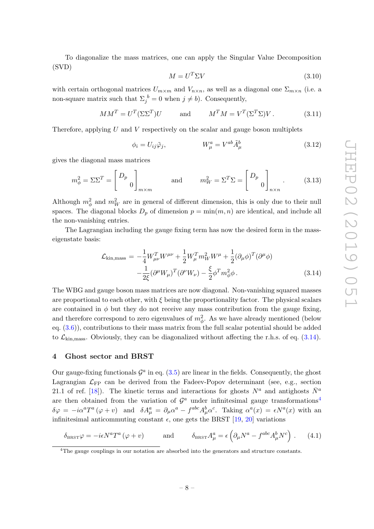To diagonalize the mass matrices, one can apply the Singular Value Decomposition (SVD)

<span id="page-8-5"></span>
$$
M = U^T \Sigma V \tag{3.10}
$$

with certain orthogonal matrices  $U_{m\times m}$  and  $V_{n\times n}$ , as well as a diagonal one  $\Sigma_{m\times n}$  (i.e. a non-square matrix such that  $\Sigma_j^b = 0$  when  $j \neq b$ ). Consequently,

$$
MM^T = U^T(\Sigma \Sigma^T)U \quad \text{and} \quad M^T M = V^T(\Sigma^T \Sigma) V. \quad (3.11)
$$

Therefore, applying  $U$  and  $V$  respectively on the scalar and gauge boson multiplets

<span id="page-8-4"></span>
$$
\phi_i = U_{ij}\tilde{\varphi}_j,\qquad W^a_\mu = V^{ab}\tilde{A}^b_\mu\tag{3.12}
$$

gives the diagonal mass matrices

$$
m_{\phi}^{2} = \Sigma \Sigma^{T} = \begin{bmatrix} D_{p} \\ 0 \end{bmatrix}_{m \times m} \quad \text{and} \quad m_{W}^{2} = \Sigma^{T} \Sigma = \begin{bmatrix} D_{p} \\ 0 \end{bmatrix}_{n \times n} . \quad (3.13)
$$

Although  $m_{\phi}^2$  and  $m_W^2$  are in general of different dimension, this is only due to their null spaces. The diagonal blocks  $D_p$  of dimension  $p = \min(m, n)$  are identical, and include all the non-vanishing entries.

The Lagrangian including the gauge fixing term has now the desired form in the masseigenstate basis:

<span id="page-8-1"></span>
$$
\mathcal{L}_{\text{kin,mass}} = -\frac{1}{4} W_{\mu\nu}^T W^{\mu\nu} + \frac{1}{2} W_{\mu}^T m_W^2 W^{\mu} + \frac{1}{2} (\partial_{\mu} \phi)^T (\partial^{\mu} \phi) \n- \frac{1}{2\xi} (\partial^{\mu} W_{\mu})^T (\partial^{\nu} W_{\nu}) - \frac{\xi}{2} \phi^T m_{\phi}^2 \phi.
$$
\n(3.14)

The WBG and gauge boson mass matrices are now diagonal. Non-vanishing squared masses are proportional to each other, with  $\xi$  being the proportionality factor. The physical scalars are contained in  $\phi$  but they do not receive any mass contribution from the gauge fixing, and therefore correspond to zero eigenvalues of  $m_{\phi}^2$ . As we have already mentioned (below eq. [\(3.6\)](#page-7-0)), contributions to their mass matrix from the full scalar potential should be added to  $\mathcal{L}_{\text{kin,mass}}$ . Obviously, they can be diagonalized without affecting the r.h.s. of eq. [\(3.14\)](#page-8-1).

## <span id="page-8-0"></span>4 Ghost sector and BRST

Our gauge-fixing functionals  $\mathcal{G}^a$  in eq. [\(3.5\)](#page-7-1) are linear in the fields. Consequently, the ghost Lagrangian  $\mathcal{L}_{FP}$  can be derived from the Fadeev-Popov determinant (see, e.g., section 21.1 of ref. [\[18\]](#page-16-12)). The kinetic terms and interactions for ghosts  $N^a$  and antighosts  $\bar{N}^a$ are then obtained from the variation of  $\mathcal{G}^a$  under infinitesimal gauge transformations<sup>[4](#page-8-2)</sup>  $\delta\varphi = -i\alpha^a T^a (\varphi + v)$  and  $\delta A_\mu^a = \partial_\mu \alpha^a - f^{abc} A_\mu^b \alpha^c$ . Taking  $\alpha^a(x) = \epsilon N^a(x)$  with an infinitesimal anticommuting constant  $\epsilon$ , one gets the BRST [\[19,](#page-17-0) [20\]](#page-17-1) variations

<span id="page-8-3"></span>
$$
\delta_{\text{BRST}} \varphi = -i\epsilon N^a T^a \left( \varphi + v \right) \quad \text{and} \quad \delta_{\text{BRST}} A^a_\mu = \epsilon \left( \partial_\mu N^a - f^{abc} A^b_\mu N^c \right) \,. \tag{4.1}
$$

<span id="page-8-2"></span><sup>&</sup>lt;sup>4</sup>The gauge couplings in our notation are absorbed into the generators and structure constants.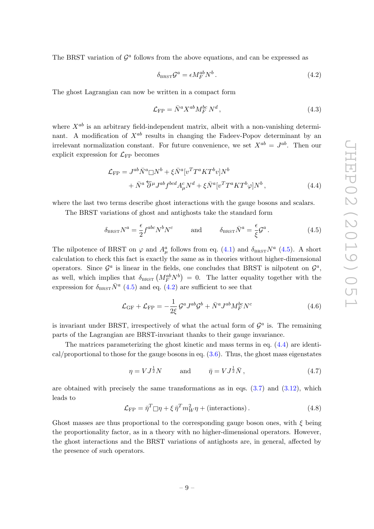The BRST variation of  $\mathcal{G}^a$  follows from the above equations, and can be expressed as

<span id="page-9-1"></span>
$$
\delta_{\text{BRST}} \mathcal{G}^a = \epsilon M_F^{ab} N^b \,. \tag{4.2}
$$

The ghost Lagrangian can now be written in a compact form

<span id="page-9-2"></span>
$$
\mathcal{L}_{\rm FP} = \bar{N}^a X^{ab} M_F^{bc} N^d \,,\tag{4.3}
$$

where  $X^{ab}$  is an arbitrary field-independent matrix, albeit with a non-vanishing determinant. A modification of  $X^{ab}$  results in changing the Fadeev-Popov determinant by an irrelevant normalization constant. For future convenience, we set  $X^{ab} = J^{ab}$ . Then our explicit expression for  $\mathcal{L}_{FP}$  becomes

$$
\mathcal{L}_{\rm FP} = J^{ab} \bar{N}^a \Box N^b + \xi \bar{N}^a [v^T T^a K T^b v] N^b + \bar{N}^a \overleftarrow{\partial}^\mu J^{ab} f^{bcd} A^c_\mu N^d + \xi \bar{N}^a [v^T T^a K T^b \varphi] N^b ,
$$
(4.4)

where the last two terms describe ghost interactions with the gauge bosons and scalars.

The BRST variations of ghost and antighosts take the standard form

<span id="page-9-0"></span>
$$
\delta_{\text{BRST}} N^a = \frac{\epsilon}{2} f^{abc} N^b N^c \qquad \text{and} \qquad \delta_{\text{BRST}} \bar{N}^a = \frac{\epsilon}{\xi} \mathcal{G}^a \,. \tag{4.5}
$$

The nilpotence of BRST on  $\varphi$  and  $A^a_\mu$  follows from eq. [\(4.1\)](#page-8-3) and  $\delta_{\text{BRST}}N^a$  [\(4.5\)](#page-9-0). A short calculation to check this fact is exactly the same as in theories without higher-dimensional operators. Since  $\mathcal{G}^a$  is linear in the fields, one concludes that BRST is nilpotent on  $\mathcal{G}^a$ , as well, which implies that  $\delta_{\text{BRST}}\left(M_F^{ab}N^b\right) = 0$ . The latter equality together with the expression for  $\delta_{\text{BRST}}\bar{N}^a$  [\(4.5\)](#page-9-0) and eq. [\(4.2\)](#page-9-1) are sufficient to see that

$$
\mathcal{L}_{\rm GF} + \mathcal{L}_{\rm FP} = -\frac{1}{2\xi} \mathcal{G}^a J^{ab} \mathcal{G}^b + \bar{N}^a J^{ab} M_F^{bc} N^c \tag{4.6}
$$

is invariant under BRST, irrespectively of what the actual form of  $\mathcal{G}^a$  is. The remaining parts of the Lagrangian are BRST-invariant thanks to their gauge invariance.

The matrices parameterizing the ghost kinetic and mass terms in eq.  $(4.4)$  are identical/proportional to those for the gauge bosons in eq.  $(3.6)$ . Thus, the ghost mass eigenstates

<span id="page-9-3"></span>
$$
\eta = VJ^{\frac{1}{2}}N \quad \text{and} \quad \bar{\eta} = VJ^{\frac{1}{2}}\bar{N}, \tag{4.7}
$$

are obtained with precisely the same transformations as in eqs.  $(3.7)$  and  $(3.12)$ , which leads to

$$
\mathcal{L}_{\rm FP} = \bar{\eta}^T \Box \eta + \xi \,\bar{\eta}^T m_W^2 \eta + \text{(interactions)}\,. \tag{4.8}
$$

Ghost masses are thus proportional to the corresponding gauge boson ones, with  $\xi$  being the proportionality factor, as in a theory with no higher-dimensional operators. However, the ghost interactions and the BRST variations of antighosts are, in general, affected by the presence of such operators.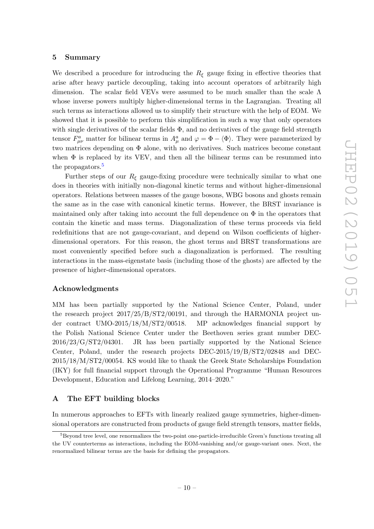#### <span id="page-10-0"></span>5 Summary

We described a procedure for introducing the  $R_{\xi}$  gauge fixing in effective theories that arise after heavy particle decoupling, taking into account operators of arbitrarily high dimension. The scalar field VEVs were assumed to be much smaller than the scale Λ whose inverse powers multiply higher-dimensional terms in the Lagrangian. Treating all such terms as interactions allowed us to simplify their structure with the help of EOM. We showed that it is possible to perform this simplification in such a way that only operators with single derivatives of the scalar fields  $\Phi$ , and no derivatives of the gauge field strength tensor  $F^a_{\mu\nu}$  matter for bilinear terms in  $A^a_\mu$  and  $\varphi = \Phi - \langle \Phi \rangle$ . They were parameterized by two matrices depending on  $\Phi$  alone, with no derivatives. Such matrices become constant when  $\Phi$  is replaced by its VEV, and then all the bilinear terms can be resummed into the propagators.<sup>[5](#page-10-2)</sup>

Further steps of our  $R_{\xi}$  gauge-fixing procedure were technically similar to what one does in theories with initially non-diagonal kinetic terms and without higher-dimensional operators. Relations between masses of the gauge bosons, WBG bosons and ghosts remain the same as in the case with canonical kinetic terms. However, the BRST invariance is maintained only after taking into account the full dependence on  $\Phi$  in the operators that contain the kinetic and mass terms. Diagonalization of these terms proceeds via field redefinitions that are not gauge-covariant, and depend on Wilson coefficients of higherdimensional operators. For this reason, the ghost terms and BRST transformations are most conveniently specified before such a diagonalization is performed. The resulting interactions in the mass-eigenstate basis (including those of the ghosts) are affected by the presence of higher-dimensional operators.

### Acknowledgments

MM has been partially supported by the National Science Center, Poland, under the research project 2017/25/B/ST2/00191, and through the HARMONIA project under contract UMO-2015/18/M/ST2/00518. MP acknowledges financial support by the Polish National Science Center under the Beethoven series grant number DEC-2016/23/G/ST2/04301. JR has been partially supported by the National Science Center, Poland, under the research projects DEC-2015/19/B/ST2/02848 and DEC-2015/18/M/ST2/00054. KS would like to thank the Greek State Scholarships Foundation (IKY) for full financial support through the Operational Programme "Human Resources Development, Education and Lifelong Learning, 2014–2020."

### <span id="page-10-1"></span>A The EFT building blocks

In numerous approaches to EFTs with linearly realized gauge symmetries, higher-dimensional operators are constructed from products of gauge field strength tensors, matter fields,

<span id="page-10-2"></span> $5B$ eyond tree level, one renormalizes the two-point one-particle-irreducible Green's functions treating all the UV counterterms as interactions, including the EOM-vanishing and/or gauge-variant ones. Next, the renormalized bilinear terms are the basis for defining the propagators.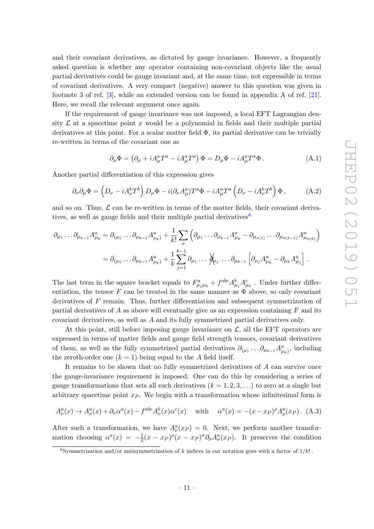and their covariant derivatives, as dictated by gauge invariance. However, a frequently asked question is whether any operator containing non-covariant objects like the usual partial derivatives could be gauge invariant and, at the same time, not expressible in terms of covariant derivatives. A very compact (negative) answer to this question was given in footnote 3 of ref. [\[3\]](#page-16-13), while an extended version can be found in appendix A of ref. [\[21\]](#page-17-2). Here, we recall the relevant argument once again.

If the requirement of gauge invariance was not imposed, a local EFT Lagrangian density  $\mathcal L$  at a spacetime point x would be a polynomial in fields and their multiple partial derivatives at this point. For a scalar matter field  $\Phi$ , its partial derivative can be trivially re-written in terms of the covariant one as

$$
\partial_{\mu}\Phi = \left(\partial_{\mu} + iA_{\mu}^{a}T^{a} - iA_{\mu}^{a}T^{a}\right)\Phi = D_{\mu}\Phi - iA_{\mu}^{a}T^{a}\Phi. \tag{A.1}
$$

Another partial differentiation of this expression gives

$$
\partial_{\nu}\partial_{\mu}\Phi = \left(D_{\nu} - iA_{\nu}^{b}T^{b}\right)D_{\mu}\Phi - i(\partial_{\nu}A_{\mu}^{a})T^{a}\Phi - iA_{\mu}^{a}T^{a}\left(D_{\nu} - iA_{\nu}^{b}T^{b}\right)\Phi, \tag{A.2}
$$

and so on. Thus,  $\mathcal L$  can be re-written in terms of the matter fields, their covariant derivatives, as well as gauge fields and their multiple partial derivatives  $6$ 

$$
\partial_{\mu_1} \dots \partial_{\mu_{k-1}} A^a_{\mu_k} = \partial_{(\mu_1} \dots \partial_{\mu_{k-1}} A^a_{\mu_k}) + \frac{1}{k!} \sum_{\sigma} \left( \partial_{\mu_1} \dots \partial_{\mu_{k-1}} A^a_{\mu_k} - \partial_{\mu_{\sigma(1)}} \dots \partial_{\mu_{\sigma(k-1)}} A^a_{\mu_{\sigma(k)}} \right)
$$
  
=  $\partial_{(\mu_1} \dots \partial_{\mu_{k-1}} A^a_{\mu_k}) + \frac{1}{k} \sum_{j=1}^{k-1} \partial_{\mu_1} \dots \partial_{\mu_j} \dots \partial_{\mu_{k-1}} \left[ \partial_{\mu_j} A^a_{\mu_k} - \partial_{\mu_k} A^a_{\mu_j} \right].$ 

The last term in the square bracket equals to  $F^a_{\mu_j\mu_k} + f^{abc} A^b_{\mu_j} A^c_{\mu_k}$ . Under further differentiation, the tensor F can be treated in the same manner as  $\Phi$  above, so only covariant derivatives of F remain. Thus, further differentiation and subsequent symmetrization of partial derivatives of  $A$  as above will eventually give us an expression containing  $F$  and its covariant derivatives, as well as A and its fully symmetrized partial derivatives only.

At this point, still before imposing gauge invariance on  $\mathcal{L}$ , all the EFT operators are expressed in terms of matter fields and gauge field strength tensors, covariant derivatives of them, as well as the fully symmetrized partial derivatives  $\partial_{(\mu_1} \dots \partial_{\mu_{k-1}} A^a_{\mu_k)}$ , including the zeroth-order one  $(k = 1)$  being equal to the A field itself.

It remains to be shown that no fully symmetrized derivatives of A can survive once the gauge-invariance requirement is imposed. One can do this by considering a series of gauge transformations that sets all such derivatives  $(k = 1, 2, 3, ...)$  to zero at a single but arbitrary spacetime point  $x_P$ . We begin with a transformation whose infinitesimal form is

$$
A^a_\nu(x) \to A^a_\nu(x) + \partial_\nu \alpha^a(x) - f^{abc} A^b_\nu(x) \alpha^c(x) \quad \text{with} \quad \alpha^a(x) = -(x - x_P)^\rho A^a_\rho(x_P). \tag{A.3}
$$

After such a transformation, we have  $A^a_\nu(x_P) = 0$ . Next, we perform another transformation choosing  $\alpha^a(x) = -\frac{1}{2}$  $\frac{1}{2}(x-x_P)^{\rho}(x-x_P)^{\sigma}\partial_{\rho}A_{\sigma}^a(x_P)$ . It preserves the condition

<span id="page-11-0"></span><sup>&</sup>lt;sup>6</sup>Symmetrization and/or antisymmetrization of k indices in our notation goes with a factor of  $1/k!$ .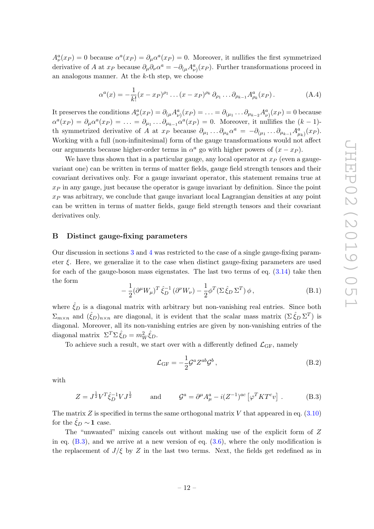$A^a_\nu(x_P) = 0$  because  $\alpha^a(x_P) = \partial_\mu \alpha^a(x_P) = 0$ . Moreover, it nullifies the first symmetrized derivative of A at  $x_P$  because  $\partial_\mu \partial_\nu \alpha^a = -\partial_{(\mu} A^a_{\nu)}(x_P)$ . Further transformations proceed in an analogous manner. At the k-th step, we choose

$$
\alpha^{a}(x) = -\frac{1}{k!}(x - x_{P})^{\rho_{1}} \dots (x - x_{P})^{\rho_{k}} \partial_{\rho_{1}} \dots \partial_{\rho_{k-1}} A^{a}_{\rho_{k}}(x_{P}). \tag{A.4}
$$

It preserves the conditions  $A^a_\nu(x_P) = \partial_{(\mu} A^a_{\nu)}(x_P) = \ldots = \partial_{(\mu_1} \ldots \partial_{\mu_{k-2}} A^a_{\nu)}(x_P) = 0$  because  $\alpha^{a}(x_{P}) = \partial_{\mu}\alpha^{a}(x_{P}) = \ldots = \partial_{\mu_{1}}\ldots\partial_{\mu_{k-1}}\alpha^{a}(x_{P}) = 0.$  Moreover, it nullifies the  $(k-1)$ th symmetrized derivative of A at  $x_P$  because  $\partial_{\mu_1} \dots \partial_{\mu_k} \alpha^a = -\partial_{(\mu_1} \dots \partial_{\mu_{k-1}} A^a_{\mu_k)}(x_P)$ . Working with a full (non-infinitesimal) form of the gauge transformations would not affect our arguments because higher-order terms in  $\alpha^a$  go with higher powers of  $(x - x_P)$ .

We have thus shown that in a particular gauge, any local operator at  $x_P$  (even a gaugevariant one) can be written in terms of matter fields, gauge field strength tensors and their covariant derivatives only. For a gauge invariant operator, this statement remains true at  $x_P$  in any gauge, just because the operator is gauge invariant by definition. Since the point  $x_P$  was arbitrary, we conclude that gauge invariant local Lagrangian densities at any point can be written in terms of matter fields, gauge field strength tensors and their covariant derivatives only.

#### <span id="page-12-0"></span>B Distinct gauge-fixing parameters

Our discussion in sections [3](#page-6-0) and [4](#page-8-0) was restricted to the case of a single gauge-fixing parameter  $\xi$ . Here, we generalize it to the case when distinct gauge-fixing parameters are used for each of the gauge-boson mass eigenstates. The last two terms of eq.  $(3.14)$  take then the form

<span id="page-12-2"></span>
$$
-\frac{1}{2}(\partial^{\mu}W_{\mu})^{T}\hat{\xi}_{D}^{-1}(\partial^{\nu}W_{\nu}) - \frac{1}{2}\phi^{T}(\Sigma\hat{\xi}_{D}\Sigma^{T})\phi, \qquad (B.1)
$$

where  $\hat{\xi}_D$  is a diagonal matrix with arbitrary but non-vanishing real entries. Since both  $\Sigma_{m\times n}$  and  $(\hat{\xi}_D)_{n\times n}$  are diagonal, it is evident that the scalar mass matrix  $(\Sigma \hat{\xi}_D \Sigma^T)$  is diagonal. Moreover, all its non-vanishing entries are given by non-vanishing entries of the diagonal matrix  $\Sigma^T \Sigma \hat{\xi}_D = m_W^2 \hat{\xi}_D$ .

To achieve such a result, we start over with a differently defined  $\mathcal{L}_{GF}$ , namely

$$
\mathcal{L}_{GF} = -\frac{1}{2} \mathcal{G}^a Z^{ab} \mathcal{G}^b \,, \tag{B.2}
$$

with

<span id="page-12-1"></span>
$$
Z = J^{\frac{1}{2}}V^T \hat{\xi}_D^{-1} V J^{\frac{1}{2}} \quad \text{and} \quad \mathcal{G}^a = \partial^\mu A^a_\mu - i(Z^{-1})^{ac} \left[ \varphi^T K T^c v \right]. \tag{B.3}
$$

The matrix  $Z$  is specified in terms the same orthogonal matrix  $V$  that appeared in eq.  $(3.10)$ for the  $\tilde{\xi}_D \sim 1$  case.

The "unwanted" mixing cancels out without making use of the explicit form of Z in eq.  $(B.3)$ , and we arrive at a new version of eq.  $(3.6)$ , where the only modification is the replacement of  $J/\xi$  by Z in the last two terms. Next, the fields get redefined as in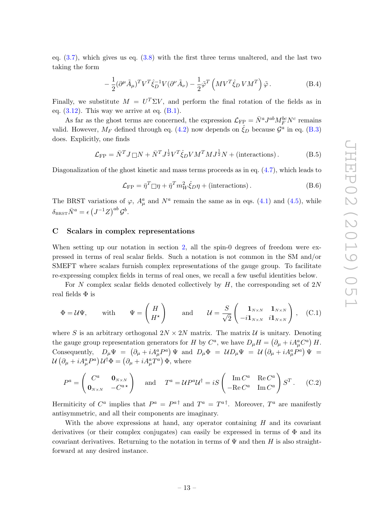eq.  $(3.7)$ , which gives us eq.  $(3.8)$  with the first three terms unaltered, and the last two taking the form

$$
-\frac{1}{2}(\partial^{\mu}\tilde{A}_{\mu})^{T}V^{T}\hat{\xi}_{D}^{-1}V(\partial^{\nu}\tilde{A}_{\nu}) - \frac{1}{2}\tilde{\varphi}^{T}\left(MV^{T}\hat{\xi}_{D}VM^{T}\right)\tilde{\varphi}.
$$
 (B.4)

Finally, we substitute  $M = U^T \Sigma V$ , and perform the final rotation of the fields as in eq.  $(3.12)$ . This way we arrive at eq.  $(B.1)$ .

As far as the ghost terms are concerned, the expression  $\mathcal{L}_{FP} = \bar{N}^a J^{ab} M^{bc}_F N^c$  remains valid. However,  $M_F$  defined through eq. [\(4.2\)](#page-9-1) now depends on  $\hat{\xi}_D$  because  $\mathcal{G}^a$  in eq. [\(B.3\)](#page-12-1) does. Explicitly, one finds

$$
\mathcal{L}_{\rm FP} = \bar{N}^T J \Box N + \bar{N}^T J^{\frac{1}{2}} V^T \hat{\xi}_D V M^T M J^{\frac{1}{2}} N + \text{(interactions)}.
$$
 (B.5)

Diagonalization of the ghost kinetic and mass terms proceeds as in eq.  $(4.7)$ , which leads to

$$
\mathcal{L}_{\rm FP} = \bar{\eta}^T \Box \eta + \bar{\eta}^T m_W^2 \hat{\xi}_D \eta + \text{(interactions)}.
$$
 (B.6)

The BRST variations of  $\varphi$ ,  $A_{\mu}^{a}$  and  $N^{a}$  remain the same as in eqs. [\(4.1\)](#page-8-3) and [\(4.5\)](#page-9-0), while  $\delta_\text{BRST} \bar{N}^a = \epsilon \left( J^{-1} Z \right)^{ab} \mathcal{G}^b.$ 

#### <span id="page-13-0"></span>C Scalars in complex representations

When setting up our notation in section [2,](#page-2-0) all the spin-0 degrees of freedom were expressed in terms of real scalar fields. Such a notation is not common in the SM and/or SMEFT where scalars furnish complex representations of the gauge group. To facilitate re-expressing complex fields in terms of real ones, we recall a few useful identities below.

For N complex scalar fields denoted collectively by  $H$ , the corresponding set of  $2N$ real fields  $\Phi$  is

$$
\Phi = \mathcal{U}\Psi, \quad \text{with} \quad \Psi = \begin{pmatrix} H \\ H^* \end{pmatrix} \quad \text{and} \quad \mathcal{U} = \frac{S}{\sqrt{2}} \begin{pmatrix} \mathbf{1}_{N \times N} & \mathbf{1}_{N \times N} \\ -i\mathbf{1}_{N \times N} & i\mathbf{1}_{N \times N} \end{pmatrix}, \quad \text{(C.1)}
$$

where S is an arbitrary orthogonal  $2N \times 2N$  matrix. The matrix U is unitary. Denoting the gauge group representation generators for H by  $C^a$ , we have  $D_\mu H = (\partial_\mu + iA_\mu^a C^a) H$ . Consequently,  $D_{\mu}\Psi = (\partial_{\mu} + iA_{\mu}^a P^a) \Psi$  and  $D_{\mu}\Phi = \mathcal{U}D_{\mu}\Psi = \mathcal{U}(\partial_{\mu} + iA_{\mu}^a P^a) \Psi =$  $\mathcal{U}\left(\partial_{\mu}+iA^{a}_{\mu}P^{a}\right)\mathcal{U}^{\dagger}\Phi=\left(\partial_{\mu}+iA^{a}_{\mu}T^{a}\right)\Phi,$  where

$$
P^{a} = \begin{pmatrix} C^{a} & \mathbf{0}_{N \times N} \\ \mathbf{0}_{N \times N} & -C^{a*} \end{pmatrix} \text{ and } T^{a} = \mathcal{U}P^{a}\mathcal{U}^{\dagger} = iS \begin{pmatrix} \text{Im } C^{a} & \text{Re } C^{a} \\ -\text{Re } C^{a} & \text{Im } C^{a} \end{pmatrix} S^{T}.
$$
 (C.2)

Hermiticity of  $C^a$  implies that  $P^a = P^{a\dagger}$  and  $T^a = T^{a\dagger}$ . Moreover,  $T^a$  are manifestly antisymmetric, and all their components are imaginary.

With the above expressions at hand, any operator containing  $H$  and its covariant derivatives (or their complex conjugates) can easily be expressed in terms of  $\Phi$  and its covariant derivatives. Returning to the notation in terms of  $\Psi$  and then H is also straightforward at any desired instance.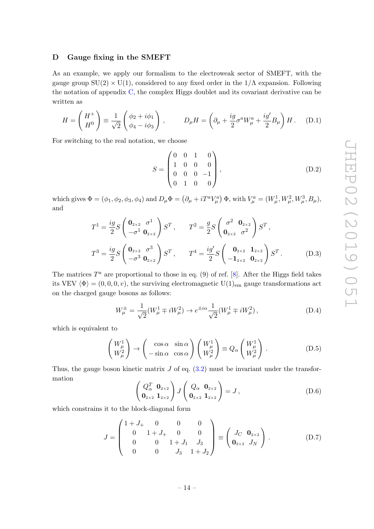#### <span id="page-14-0"></span>D Gauge fixing in the SMEFT

As an example, we apply our formalism to the electroweak sector of SMEFT, with the gauge group  $SU(2) \times U(1)$ , considered to any fixed order in the  $1/\Lambda$  expansion. Following the notation of appendix [C,](#page-13-0) the complex Higgs doublet and its covariant derivative can be written as

$$
H = \begin{pmatrix} H^+ \\ H^0 \end{pmatrix} \equiv \frac{1}{\sqrt{2}} \begin{pmatrix} \phi_2 + i\phi_1 \\ \phi_4 - i\phi_3 \end{pmatrix}, \qquad D_\mu H = \left( \partial_\mu + \frac{ig}{2} \sigma^a W^a_\mu + \frac{ig'}{2} B_\mu \right) H. \quad (D.1)
$$

For switching to the real notation, we choose

$$
S = \begin{pmatrix} 0 & 0 & 1 & 0 \\ 1 & 0 & 0 & 0 \\ 0 & 0 & 0 & -1 \\ 0 & 1 & 0 & 0 \end{pmatrix},
$$
 (D.2)

which gives  $\Phi = (\phi_1, \phi_2, \phi_3, \phi_4)$  and  $D_\mu \Phi = (\partial_\mu + i T^a V_\mu^a) \Phi$ , with  $V_\mu^a = (W_\mu^1, W_\mu^2, W_\mu^3, B_\mu)$ , and

$$
T^{1} = \frac{ig}{2} S \begin{pmatrix} \mathbf{0}_{2 \times 2} & \sigma^{1} \\ -\sigma^{1} & \mathbf{0}_{2 \times 2} \end{pmatrix} S^{T}, \qquad T^{2} = \frac{g}{2} S \begin{pmatrix} \sigma^{2} & \mathbf{0}_{2 \times 2} \\ \mathbf{0}_{2 \times 2} & \sigma^{2} \end{pmatrix} S^{T},
$$
  
\n
$$
T^{3} = \frac{ig}{2} S \begin{pmatrix} \mathbf{0}_{2 \times 2} & \sigma^{3} \\ -\sigma^{3} & \mathbf{0}_{2 \times 2} \end{pmatrix} S^{T}, \qquad T^{4} = \frac{ig'}{2} S \begin{pmatrix} \mathbf{0}_{2 \times 2} & \mathbf{1}_{2 \times 2} \\ -\mathbf{1}_{2 \times 2} & \mathbf{0}_{2 \times 2} \end{pmatrix} S^{T}.
$$
 (D.3)

The matrices  $T^a$  are proportional to those in eq. (9) of ref. [\[8\]](#page-16-6). After the Higgs field takes its VEV  $\langle \Phi \rangle = (0, 0, 0, v)$ , the surviving electromagnetic U(1)<sub>em</sub> gauge transformations act on the charged gauge bosons as follows:

$$
W^{\pm}_{\mu} = \frac{1}{\sqrt{2}} (W_{\mu}^{1} \mp iW_{\mu}^{2}) \rightarrow e^{\pm i\alpha} \frac{1}{\sqrt{2}} (W_{\mu}^{1} \mp iW_{\mu}^{2}), \qquad (D.4)
$$

which is equivalent to

$$
\begin{pmatrix} W_{\mu}^{1} \\ W_{\mu}^{2} \end{pmatrix} \rightarrow \begin{pmatrix} \cos \alpha & \sin \alpha \\ -\sin \alpha & \cos \alpha \end{pmatrix} \begin{pmatrix} W_{\mu}^{1} \\ W_{\mu}^{2} \end{pmatrix} \equiv Q_{\alpha} \begin{pmatrix} W_{\mu}^{1} \\ W_{\mu}^{2} \end{pmatrix} . \tag{D.5}
$$

Thus, the gauge boson kinetic matrix  $J$  of eq.  $(3.2)$  must be invariant under the transformation

$$
\begin{pmatrix} Q_{\alpha}^T & \mathbf{0}_{2\times 2} \\ \mathbf{0}_{2\times 2} & \mathbf{1}_{2\times 2} \end{pmatrix} J \begin{pmatrix} Q_{\alpha} & \mathbf{0}_{2\times 2} \\ \mathbf{0}_{2\times 2} & \mathbf{1}_{2\times 2} \end{pmatrix} = J,
$$
\n(D.6)

which constrains it to the block-diagonal form

$$
J = \begin{pmatrix} 1+J_{+} & 0 & 0 & 0 \\ 0 & 1+J_{+} & 0 & 0 \\ 0 & 0 & 1+J_{1} & J_{3} \\ 0 & 0 & J_{3} & 1+J_{2} \end{pmatrix} \equiv \begin{pmatrix} J_{C} & \mathbf{0}_{2\times 2} \\ \mathbf{0}_{2\times 2} & J_{N} \end{pmatrix} .
$$
 (D.7)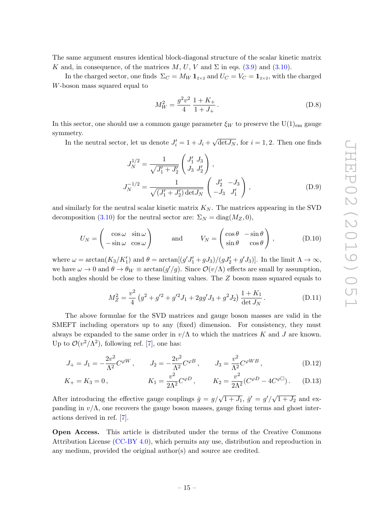The same argument ensures identical block-diagonal structure of the scalar kinetic matrix K and, in consequence, of the matrices  $M, U, V$  and  $\Sigma$  in eqs. [\(3.9\)](#page-7-4) and [\(3.10\)](#page-8-5).

In the charged sector, one finds  $\Sigma_C = M_W \mathbf{1}_{2 \times 2}$  and  $U_C = V_C = \mathbf{1}_{2 \times 2}$ , with the charged W-boson mass squared equal to

$$
M_W^2 = \frac{g^2 v^2}{4} \frac{1 + K_+}{1 + J_+} \,. \tag{D.8}
$$

In this sector, one should use a common gauge parameter  $\xi_W$  to preserve the U(1)<sub>em</sub> gauge symmetry. √

In the neutral sector, let us denote  $J_i' = 1 + J_i +$  $\det J_N$ , for  $i = 1, 2$ . Then one finds

$$
J_N^{1/2} = \frac{1}{\sqrt{J_1' + J_2'}} \begin{pmatrix} J_1' & J_3 \\ J_3 & J_2' \end{pmatrix},
$$
  

$$
J_N^{-1/2} = \frac{1}{\sqrt{(J_1' + J_2') \det J_N}} \begin{pmatrix} J_2' & -J_3 \\ -J_3 & J_1' \end{pmatrix},
$$
 (D.9)

and similarly for the neutral scalar kinetic matrix  $K_N$ . The matrices appearing in the SVD decomposition [\(3.10\)](#page-8-5) for the neutral sector are:  $\Sigma_N = \text{diag}(M_Z, 0)$ ,

$$
U_N = \begin{pmatrix} \cos \omega & \sin \omega \\ -\sin \omega & \cos \omega \end{pmatrix} \quad \text{and} \quad V_N = \begin{pmatrix} \cos \theta & -\sin \theta \\ \sin \theta & \cos \theta \end{pmatrix}, \quad (D.10)
$$

where  $\omega = \arctan(K_3/K'_1)$  and  $\theta = \arctan[(g'J'_1 + gJ_3)/(gJ'_2 + g'J_3)]$ . In the limit  $\Lambda \to \infty$ , we have  $\omega \to 0$  and  $\theta \to \theta_W \equiv \arctan(g'/g)$ . Since  $\mathcal{O}(v/\Lambda)$  effects are small by assumption, both angles should be close to these limiting values. The Z boson mass squared equals to

$$
M_Z^2 = \frac{v^2}{4} \left( g^2 + g'^2 + g'^2 J_1 + 2gg' J_3 + g^2 J_2 \right) \frac{1 + K_1}{\det J_N}.
$$
 (D.11)

The above formulae for the SVD matrices and gauge boson masses are valid in the SMEFT including operators up to any (fixed) dimension. For consistency, they must always be expanded to the same order in  $v/\Lambda$  to which the matrices K and J are known. Up to  $\mathcal{O}(v^2/\Lambda^2)$ , following ref. [\[7\]](#page-16-5), one has:

$$
J_{+} = J_{1} = -\frac{2v^{2}}{\Lambda^{2}} C^{\varphi W}, \qquad J_{2} = -\frac{2v^{2}}{\Lambda^{2}} C^{\varphi B}, \qquad J_{3} = \frac{v^{2}}{\Lambda^{2}} C^{\varphi WB}, \qquad (D.12)
$$

$$
K_{+} = K_{3} = 0,
$$
  $K_{1} = \frac{v^{2}}{2\Lambda^{2}} C^{\varphi D}, \qquad K_{2} = \frac{v^{2}}{2\Lambda^{2}} (C^{\varphi D} - 4C^{\varphi \Box}).$  (D.13)

After introducing the effective gauge couplings  $\bar{g} = g/\sqrt{1 + J_1}$ ,  $\bar{g}' = g'/\sqrt{1 + J_2}$  $\overline{1+J_2}$  and expanding in  $v/\Lambda$ , one recovers the gauge boson masses, gauge fixing terms and ghost interactions derived in ref. [\[7\]](#page-16-5).

Open Access. This article is distributed under the terms of the Creative Commons Attribution License [\(CC-BY 4.0\)](https://creativecommons.org/licenses/by/4.0/), which permits any use, distribution and reproduction in any medium, provided the original author(s) and source are credited.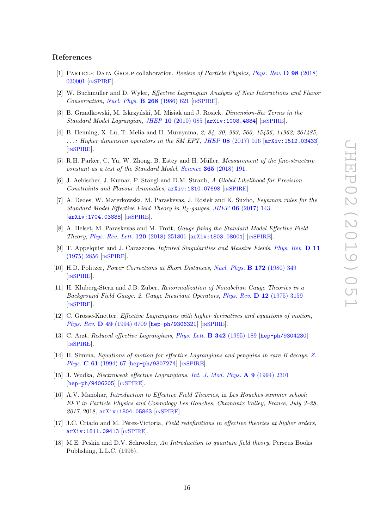## References

- <span id="page-16-0"></span>[1] Particle Data Group collaboration, Review of Particle Physics, [Phys. Rev.](https://doi.org/10.1103/PhysRevD.98.030001) D 98 (2018) [030001](https://doi.org/10.1103/PhysRevD.98.030001) [IN[SPIRE](https://inspirehep.net/search?p=find+J+%22Phys.Rev.,D98,030001%22)].
- <span id="page-16-1"></span>[2] W. Buchmüller and D. Wyler, *Effective Lagrangian Analysis of New Interactions and Flavor* Conservation, [Nucl. Phys.](https://doi.org/10.1016/0550-3213(86)90262-2) **B 268** (1986) 621 [IN[SPIRE](https://inspirehep.net/search?p=find+J+%22Nucl.Phys.,B268,621%22)].
- <span id="page-16-13"></span>[3] B. Grzadkowski, M. Iskrzyński, M. Misiak and J. Rosiek, *Dimension-Six Terms in the* Standard Model Lagrangian, JHEP 10 [\(2010\) 085](https://doi.org/10.1007/JHEP10(2010)085) [[arXiv:1008.4884](https://arxiv.org/abs/1008.4884)] [IN[SPIRE](https://inspirehep.net/search?p=find+EPRINT+arXiv:1008.4884)].
- <span id="page-16-2"></span>[4] B. Henning, X. Lu, T. Melia and H. Murayama, 2, 84, 30, 993, 560, 15456, 11962, 261485,  $\ldots$ : Higher dimension operators in the SM EFT, JHEP 08 [\(2017\) 016](https://doi.org/10.1007/JHEP08(2017)016) [[arXiv:1512.03433](https://arxiv.org/abs/1512.03433)] [IN[SPIRE](https://inspirehep.net/search?p=find+EPRINT+arXiv:1512.03433)].
- <span id="page-16-3"></span>[5] R.H. Parker, C. Yu, W. Zhong, B. Estey and H. Müller, *Measurement of the fine-structure* constant as a test of the Standard Model, Science 365 [\(2018\) 191.](https://doi.org/10.1126/science.aap7706)
- <span id="page-16-4"></span>[6] J. Aebischer, J. Kumar, P. Stangl and D.M. Straub, A Global Likelihood for Precision Constraints and Flavour Anomalies,  $arXiv:1810.07698$  [IN[SPIRE](https://inspirehep.net/search?p=find+EPRINT+arXiv:1810.07698)].
- <span id="page-16-5"></span>[7] A. Dedes, W. Materkowska, M. Paraskevas, J. Rosiek and K. Suxho, Feynman rules for the Standard Model Effective Field Theory in R<sub> $\epsilon$ </sub>-gauges, JHEP 06 [\(2017\) 143](https://doi.org/10.1007/JHEP06(2017)143) [[arXiv:1704.03888](https://arxiv.org/abs/1704.03888)] [IN[SPIRE](https://inspirehep.net/search?p=find+EPRINT+arXiv:1704.03888)].
- <span id="page-16-6"></span>[8] A. Helset, M. Paraskevas and M. Trott, Gauge fixing the Standard Model Effective Field Theory, [Phys. Rev. Lett.](https://doi.org/10.1103/PhysRevLett.120.251801) 120 (2018) 251801 [[arXiv:1803.08001](https://arxiv.org/abs/1803.08001)] [IN[SPIRE](https://inspirehep.net/search?p=find+EPRINT+arXiv:1803.08001)].
- <span id="page-16-7"></span>[9] T. Appelquist and J. Carazzone, Infrared Singularities and Massive Fields, [Phys. Rev.](https://doi.org/10.1103/PhysRevD.11.2856) D 11 [\(1975\) 2856](https://doi.org/10.1103/PhysRevD.11.2856) [IN[SPIRE](https://inspirehep.net/search?p=find+J+%22Phys.Rev.,D11,2856%22)].
- <span id="page-16-8"></span>[10] H.D. Politzer, Power Corrections at Short Distances, [Nucl. Phys.](https://doi.org/10.1016/0550-3213(80)90172-8) B 172 (1980) 349 [IN[SPIRE](https://inspirehep.net/search?p=find+J+%22Nucl.Phys.,B172,349%22)].
- <span id="page-16-10"></span>[11] H. Kluberg-Stern and J.B. Zuber, Renormalization of Nonabelian Gauge Theories in a Background Field Gauge. 2. Gauge Invariant Operators, Phys. Rev. D 12 [\(1975\) 3159](https://doi.org/10.1103/PhysRevD.12.3159) [IN[SPIRE](https://inspirehep.net/search?p=find+J+%22Phys.Rev.,D12,3159%22)].
- [12] C. Grosse-Knetter, Effective Lagrangians with higher derivatives and equations of motion, Phys. Rev. **D 49** [\(1994\) 6709](https://doi.org/10.1103/PhysRevD.49.6709) [[hep-ph/9306321](https://arxiv.org/abs/hep-ph/9306321)] [IN[SPIRE](https://inspirehep.net/search?p=find+EPRINT+hep-ph/9306321)].
- [13] C. Arzt, Reduced effective Lagrangians, [Phys. Lett.](https://doi.org/10.1016/0370-2693(94)01419-D) B 342 (1995) 189 [[hep-ph/9304230](https://arxiv.org/abs/hep-ph/9304230)] [IN[SPIRE](https://inspirehep.net/search?p=find+EPRINT+hep-ph/9304230)].
- [14] H. Simma, Equations of motion for effective Lagrangians and penguins in rare B decays, [Z.](https://doi.org/10.1007/BF01641888) Phys. C 61 [\(1994\) 67](https://doi.org/10.1007/BF01641888) [[hep-ph/9307274](https://arxiv.org/abs/hep-ph/9307274)] [IN[SPIRE](https://inspirehep.net/search?p=find+EPRINT+hep-ph/9307274)].
- [15] J. Wudka, Electroweak effective Lagrangians, [Int. J. Mod. Phys.](https://doi.org/10.1142/S0217751X94000959) A 9 (1994) 2301 [[hep-ph/9406205](https://arxiv.org/abs/hep-ph/9406205)] [IN[SPIRE](https://inspirehep.net/search?p=find+EPRINT+hep-ph/9406205)].
- <span id="page-16-11"></span>[16] A.V. Manohar, Introduction to Effective Field Theories, in Les Houches summer school: EFT in Particle Physics and Cosmology Les Houches, Chamonix Valley, France, July 3–28, 2017, 2018, [arXiv:1804.05863](https://arxiv.org/abs/1804.05863) [IN[SPIRE](https://inspirehep.net/search?p=find+EPRINT+arXiv:1804.05863)].
- <span id="page-16-9"></span>[17] J.C. Criado and M. Pérez-Victoria, Field redefinitions in effective theories at higher orders, [arXiv:1811.09413](https://arxiv.org/abs/1811.09413) [IN[SPIRE](https://inspirehep.net/search?p=find+EPRINT+arXiv:1811.09413)].
- <span id="page-16-12"></span>[18] M.E. Peskin and D.V. Schroeder, An Introduction to quantum field theory, Perseus Books Publishing, L.L.C. (1995).